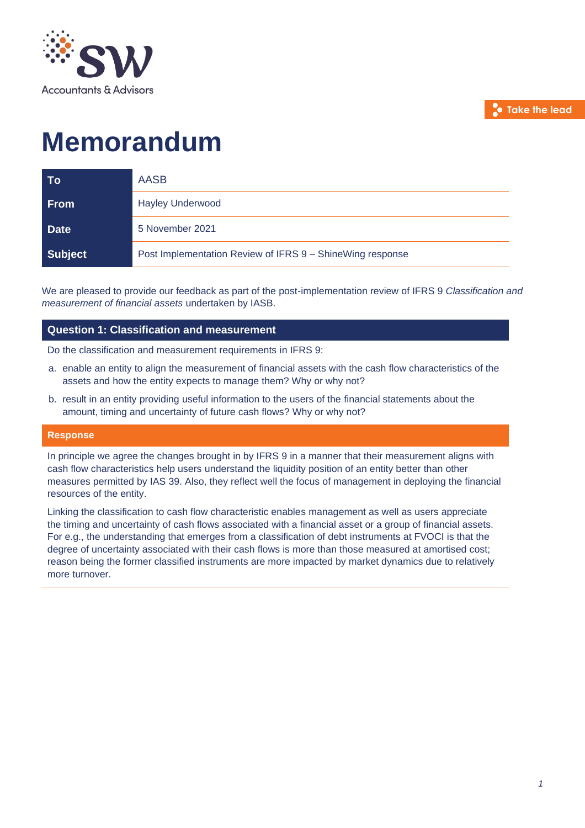

**Take the lead**

# **Memorandum**

| To          | <b>AASB</b>                                               |
|-------------|-----------------------------------------------------------|
| <b>From</b> | <b>Hayley Underwood</b>                                   |
| <b>Date</b> | 5 November 2021                                           |
| Subject     | Post Implementation Review of IFRS 9 - ShineWing response |

We are pleased to provide our feedback as part of the post-implementation review of IFRS 9 *Classification and measurement of financial assets* undertaken by IASB.

# **Question 1: Classification and measurement**

Do the classification and measurement requirements in IFRS 9:

- a. enable an entity to align the measurement of financial assets with the cash flow characteristics of the assets and how the entity expects to manage them? Why or why not?
- b. result in an entity providing useful information to the users of the financial statements about the amount, timing and uncertainty of future cash flows? Why or why not?

#### **Response**

In principle we agree the changes brought in by IFRS 9 in a manner that their measurement aligns with cash flow characteristics help users understand the liquidity position of an entity better than other measures permitted by IAS 39. Also, they reflect well the focus of management in deploying the financial resources of the entity.

Linking the classification to cash flow characteristic enables management as well as users appreciate the timing and uncertainty of cash flows associated with a financial asset or a group of financial assets. For e.g., the understanding that emerges from a classification of debt instruments at FVOCI is that the degree of uncertainty associated with their cash flows is more than those measured at amortised cost; reason being the former classified instruments are more impacted by market dynamics due to relatively more turnover.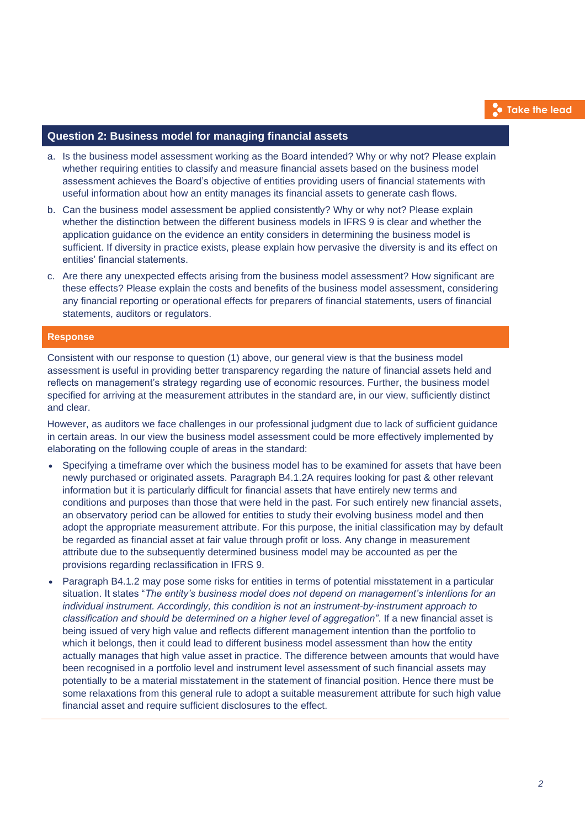## **Question 2: Business model for managing financial assets**

- a. Is the business model assessment working as the Board intended? Why or why not? Please explain whether requiring entities to classify and measure financial assets based on the business model assessment achieves the Board's objective of entities providing users of financial statements with useful information about how an entity manages its financial assets to generate cash flows.
- b. Can the business model assessment be applied consistently? Why or why not? Please explain whether the distinction between the different business models in IFRS 9 is clear and whether the application guidance on the evidence an entity considers in determining the business model is sufficient. If diversity in practice exists, please explain how pervasive the diversity is and its effect on entities' financial statements.
- c. Are there any unexpected effects arising from the business model assessment? How significant are these effects? Please explain the costs and benefits of the business model assessment, considering any financial reporting or operational effects for preparers of financial statements, users of financial statements, auditors or regulators.

#### **Response**

Consistent with our response to question (1) above, our general view is that the business model assessment is useful in providing better transparency regarding the nature of financial assets held and reflects on management's strategy regarding use of economic resources. Further, the business model specified for arriving at the measurement attributes in the standard are, in our view, sufficiently distinct and clear.

However, as auditors we face challenges in our professional judgment due to lack of sufficient guidance in certain areas. In our view the business model assessment could be more effectively implemented by elaborating on the following couple of areas in the standard:

- Specifying a timeframe over which the business model has to be examined for assets that have been newly purchased or originated assets. Paragraph B4.1.2A requires looking for past & other relevant information but it is particularly difficult for financial assets that have entirely new terms and conditions and purposes than those that were held in the past. For such entirely new financial assets, an observatory period can be allowed for entities to study their evolving business model and then adopt the appropriate measurement attribute. For this purpose, the initial classification may by default be regarded as financial asset at fair value through profit or loss. Any change in measurement attribute due to the subsequently determined business model may be accounted as per the provisions regarding reclassification in IFRS 9.
- Paragraph B4.1.2 may pose some risks for entities in terms of potential misstatement in a particular situation. It states "*The entity's business model does not depend on management's intentions for an individual instrument. Accordingly, this condition is not an instrument-by-instrument approach to classification and should be determined on a higher level of aggregation"*. If a new financial asset is being issued of very high value and reflects different management intention than the portfolio to which it belongs, then it could lead to different business model assessment than how the entity actually manages that high value asset in practice. The difference between amounts that would have been recognised in a portfolio level and instrument level assessment of such financial assets may potentially to be a material misstatement in the statement of financial position. Hence there must be some relaxations from this general rule to adopt a suitable measurement attribute for such high value financial asset and require sufficient disclosures to the effect.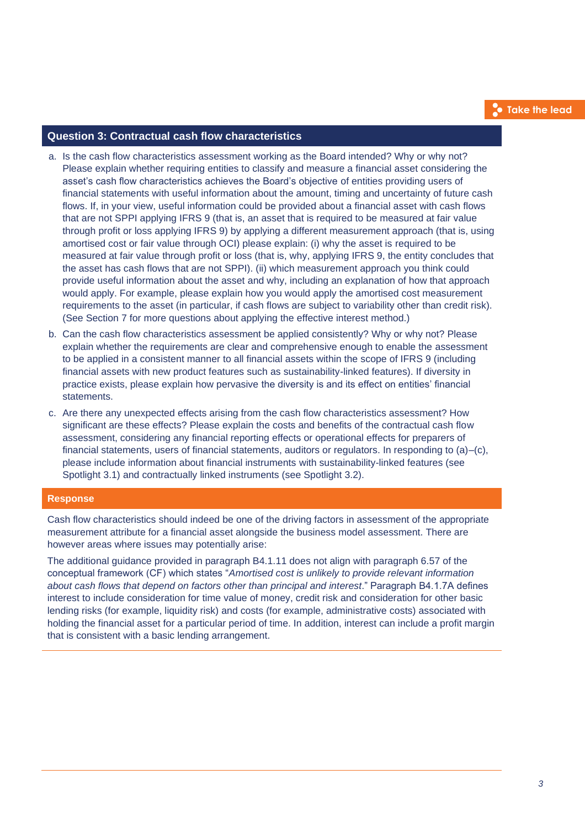# **Question 3: Contractual cash flow characteristics**

- a. Is the cash flow characteristics assessment working as the Board intended? Why or why not? Please explain whether requiring entities to classify and measure a financial asset considering the asset's cash flow characteristics achieves the Board's objective of entities providing users of financial statements with useful information about the amount, timing and uncertainty of future cash flows. If, in your view, useful information could be provided about a financial asset with cash flows that are not SPPI applying IFRS 9 (that is, an asset that is required to be measured at fair value through profit or loss applying IFRS 9) by applying a different measurement approach (that is, using amortised cost or fair value through OCI) please explain: (i) why the asset is required to be measured at fair value through profit or loss (that is, why, applying IFRS 9, the entity concludes that the asset has cash flows that are not SPPI). (ii) which measurement approach you think could provide useful information about the asset and why, including an explanation of how that approach would apply. For example, please explain how you would apply the amortised cost measurement requirements to the asset (in particular, if cash flows are subject to variability other than credit risk). (See Section 7 for more questions about applying the effective interest method.)
- b. Can the cash flow characteristics assessment be applied consistently? Why or why not? Please explain whether the requirements are clear and comprehensive enough to enable the assessment to be applied in a consistent manner to all financial assets within the scope of IFRS 9 (including financial assets with new product features such as sustainability-linked features). If diversity in practice exists, please explain how pervasive the diversity is and its effect on entities' financial statements.
- c. Are there any unexpected effects arising from the cash flow characteristics assessment? How significant are these effects? Please explain the costs and benefits of the contractual cash flow assessment, considering any financial reporting effects or operational effects for preparers of financial statements, users of financial statements, auditors or regulators. In responding to (a)–(c), please include information about financial instruments with sustainability-linked features (see Spotlight 3.1) and contractually linked instruments (see Spotlight 3.2).

## **Response**

Cash flow characteristics should indeed be one of the driving factors in assessment of the appropriate measurement attribute for a financial asset alongside the business model assessment. There are however areas where issues may potentially arise:

The additional guidance provided in paragraph B4.1.11 does not align with paragraph 6.57 of the conceptual framework (CF) which states "*Amortised cost is unlikely to provide relevant information about cash flows that depend on factors other than principal and interest*." Paragraph B4.1.7A defines interest to include consideration for time value of money, credit risk and consideration for other basic lending risks (for example, liquidity risk) and costs (for example, administrative costs) associated with holding the financial asset for a particular period of time. In addition, interest can include a profit margin that is consistent with a basic lending arrangement.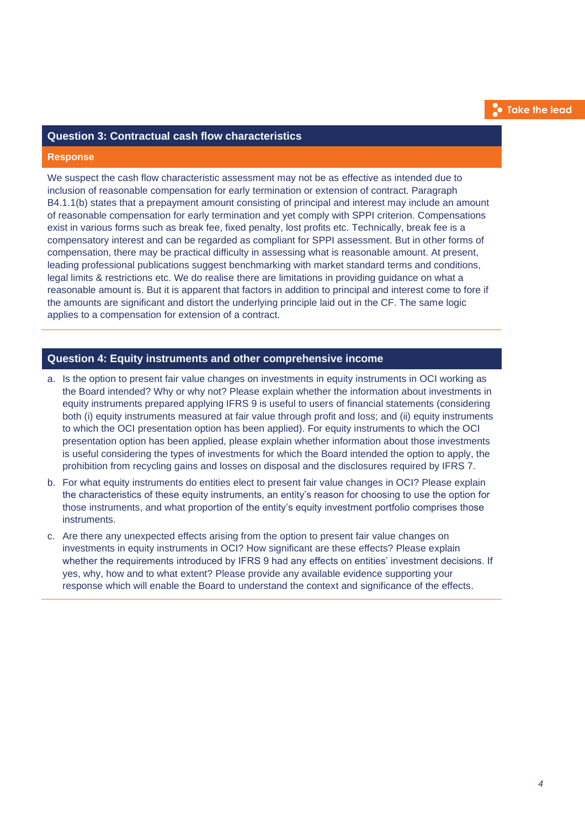# **Take the lead**

## **Question 3: Contractual cash flow characteristics**

#### **Response**

We suspect the cash flow characteristic assessment may not be as effective as intended due to inclusion of reasonable compensation for early termination or extension of contract. Paragraph B4.1.1(b) states that a prepayment amount consisting of principal and interest may include an amount of reasonable compensation for early termination and yet comply with SPPI criterion. Compensations exist in various forms such as break fee, fixed penalty, lost profits etc. Technically, break fee is a compensatory interest and can be regarded as compliant for SPPI assessment. But in other forms of compensation, there may be practical difficulty in assessing what is reasonable amount. At present, leading professional publications suggest benchmarking with market standard terms and conditions, legal limits & restrictions etc. We do realise there are limitations in providing guidance on what a reasonable amount is. But it is apparent that factors in addition to principal and interest come to fore if the amounts are significant and distort the underlying principle laid out in the CF. The same logic applies to a compensation for extension of a contract.

### **Question 4: Equity instruments and other comprehensive income**

- a. Is the option to present fair value changes on investments in equity instruments in OCI working as the Board intended? Why or why not? Please explain whether the information about investments in equity instruments prepared applying IFRS 9 is useful to users of financial statements (considering both (i) equity instruments measured at fair value through profit and loss; and (ii) equity instruments to which the OCI presentation option has been applied). For equity instruments to which the OCI presentation option has been applied, please explain whether information about those investments is useful considering the types of investments for which the Board intended the option to apply, the prohibition from recycling gains and losses on disposal and the disclosures required by IFRS 7.
- b. For what equity instruments do entities elect to present fair value changes in OCI? Please explain the characteristics of these equity instruments, an entity's reason for choosing to use the option for those instruments, and what proportion of the entity's equity investment portfolio comprises those instruments.
- c. Are there any unexpected effects arising from the option to present fair value changes on investments in equity instruments in OCI? How significant are these effects? Please explain whether the requirements introduced by IFRS 9 had any effects on entities' investment decisions. If yes, why, how and to what extent? Please provide any available evidence supporting your response which will enable the Board to understand the context and significance of the effects.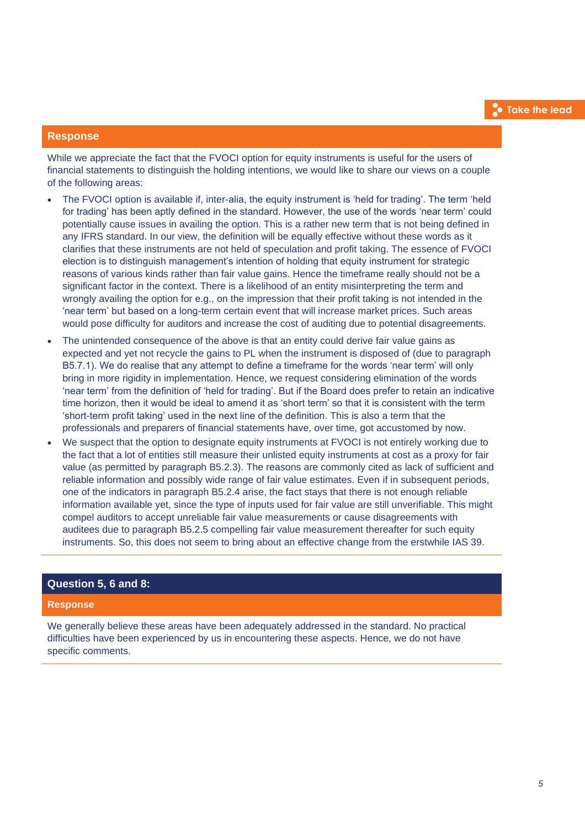## **Response**

While we appreciate the fact that the FVOCI option for equity instruments is useful for the users of financial statements to distinguish the holding intentions, we would like to share our views on a couple of the following areas:

- The FVOCI option is available if, inter-alia, the equity instrument is 'held for trading'. The term 'held for trading' has been aptly defined in the standard. However, the use of the words 'near term' could potentially cause issues in availing the option. This is a rather new term that is not being defined in any IFRS standard. In our view, the definition will be equally effective without these words as it clarifies that these instruments are not held of speculation and profit taking. The essence of FVOCI election is to distinguish management's intention of holding that equity instrument for strategic reasons of various kinds rather than fair value gains. Hence the timeframe really should not be a significant factor in the context. There is a likelihood of an entity misinterpreting the term and wrongly availing the option for e.g., on the impression that their profit taking is not intended in the 'near term' but based on a long-term certain event that will increase market prices. Such areas would pose difficulty for auditors and increase the cost of auditing due to potential disagreements.
- The unintended consequence of the above is that an entity could derive fair value gains as expected and yet not recycle the gains to PL when the instrument is disposed of (due to paragraph B5.7.1). We do realise that any attempt to define a timeframe for the words 'near term' will only bring in more rigidity in implementation. Hence, we request considering elimination of the words 'near term' from the definition of 'held for trading'. But if the Board does prefer to retain an indicative time horizon, then it would be ideal to amend it as 'short term' so that it is consistent with the term 'short-term profit taking' used in the next line of the definition. This is also a term that the professionals and preparers of financial statements have, over time, got accustomed by now.
- We suspect that the option to designate equity instruments at FVOCI is not entirely working due to the fact that a lot of entities still measure their unlisted equity instruments at cost as a proxy for fair value (as permitted by paragraph B5.2.3). The reasons are commonly cited as lack of sufficient and reliable information and possibly wide range of fair value estimates. Even if in subsequent periods, one of the indicators in paragraph B5.2.4 arise, the fact stays that there is not enough reliable information available yet, since the type of inputs used for fair value are still unverifiable. This might compel auditors to accept unreliable fair value measurements or cause disagreements with auditees due to paragraph B5.2.5 compelling fair value measurement thereafter for such equity instruments. So, this does not seem to bring about an effective change from the erstwhile IAS 39.

#### **Question 5, 6 and 8:**

#### **Response**

We generally believe these areas have been adequately addressed in the standard. No practical difficulties have been experienced by us in encountering these aspects. Hence, we do not have specific comments.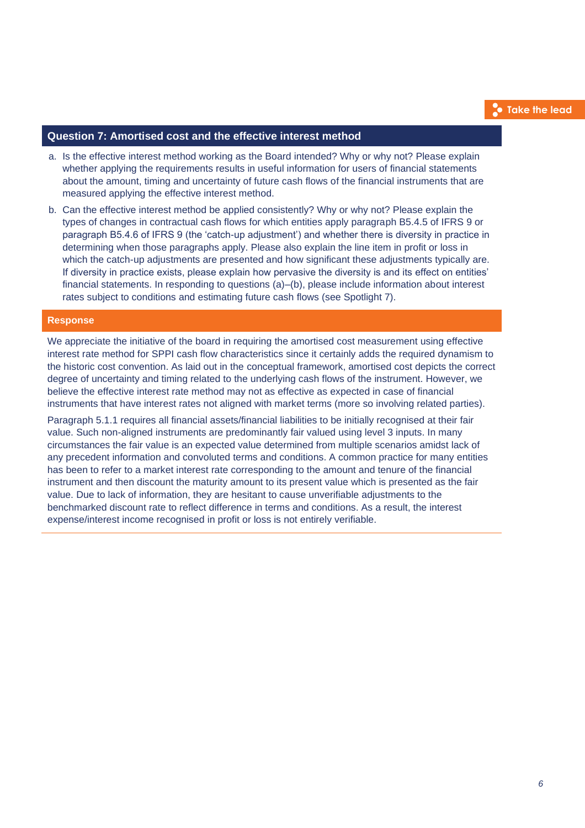## **Question 7: Amortised cost and the effective interest method**

- a. Is the effective interest method working as the Board intended? Why or why not? Please explain whether applying the requirements results in useful information for users of financial statements about the amount, timing and uncertainty of future cash flows of the financial instruments that are measured applying the effective interest method.
- b. Can the effective interest method be applied consistently? Why or why not? Please explain the types of changes in contractual cash flows for which entities apply paragraph B5.4.5 of IFRS 9 or paragraph B5.4.6 of IFRS 9 (the 'catch-up adjustment') and whether there is diversity in practice in determining when those paragraphs apply. Please also explain the line item in profit or loss in which the catch-up adjustments are presented and how significant these adjustments typically are. If diversity in practice exists, please explain how pervasive the diversity is and its effect on entities' financial statements. In responding to questions (a)–(b), please include information about interest rates subject to conditions and estimating future cash flows (see Spotlight 7).

## **Response**

We appreciate the initiative of the board in requiring the amortised cost measurement using effective interest rate method for SPPI cash flow characteristics since it certainly adds the required dynamism to the historic cost convention. As laid out in the conceptual framework, amortised cost depicts the correct degree of uncertainty and timing related to the underlying cash flows of the instrument. However, we believe the effective interest rate method may not as effective as expected in case of financial instruments that have interest rates not aligned with market terms (more so involving related parties).

Paragraph 5.1.1 requires all financial assets/financial liabilities to be initially recognised at their fair value. Such non-aligned instruments are predominantly fair valued using level 3 inputs. In many circumstances the fair value is an expected value determined from multiple scenarios amidst lack of any precedent information and convoluted terms and conditions. A common practice for many entities has been to refer to a market interest rate corresponding to the amount and tenure of the financial instrument and then discount the maturity amount to its present value which is presented as the fair value. Due to lack of information, they are hesitant to cause unverifiable adjustments to the benchmarked discount rate to reflect difference in terms and conditions. As a result, the interest expense/interest income recognised in profit or loss is not entirely verifiable.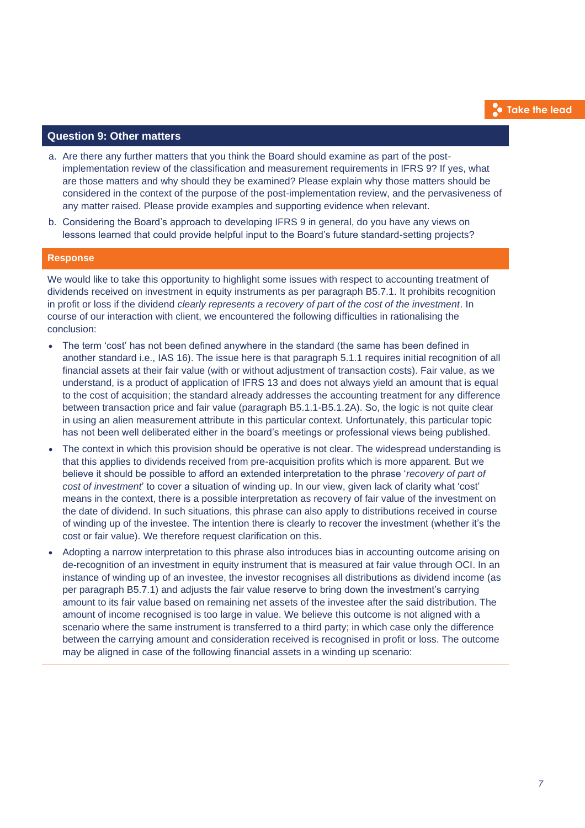# **Question 9: Other matters**

- a. Are there any further matters that you think the Board should examine as part of the postimplementation review of the classification and measurement requirements in IFRS 9? If yes, what are those matters and why should they be examined? Please explain why those matters should be considered in the context of the purpose of the post-implementation review, and the pervasiveness of any matter raised. Please provide examples and supporting evidence when relevant.
- b. Considering the Board's approach to developing IFRS 9 in general, do you have any views on lessons learned that could provide helpful input to the Board's future standard-setting projects?

#### **Response**

We would like to take this opportunity to highlight some issues with respect to accounting treatment of dividends received on investment in equity instruments as per paragraph B5.7.1. It prohibits recognition in profit or loss if the dividend *clearly represents a recovery of part of the cost of the investment*. In course of our interaction with client, we encountered the following difficulties in rationalising the conclusion:

- The term 'cost' has not been defined anywhere in the standard (the same has been defined in another standard i.e., IAS 16). The issue here is that paragraph 5.1.1 requires initial recognition of all financial assets at their fair value (with or without adjustment of transaction costs). Fair value, as we understand, is a product of application of IFRS 13 and does not always yield an amount that is equal to the cost of acquisition; the standard already addresses the accounting treatment for any difference between transaction price and fair value (paragraph B5.1.1-B5.1.2A). So, the logic is not quite clear in using an alien measurement attribute in this particular context. Unfortunately, this particular topic has not been well deliberated either in the board's meetings or professional views being published.
- The context in which this provision should be operative is not clear. The widespread understanding is that this applies to dividends received from pre-acquisition profits which is more apparent. But we believe it should be possible to afford an extended interpretation to the phrase '*recovery of part of cost of investment*' to cover a situation of winding up. In our view, given lack of clarity what 'cost' means in the context, there is a possible interpretation as recovery of fair value of the investment on the date of dividend. In such situations, this phrase can also apply to distributions received in course of winding up of the investee. The intention there is clearly to recover the investment (whether it's the cost or fair value). We therefore request clarification on this.
- Adopting a narrow interpretation to this phrase also introduces bias in accounting outcome arising on de-recognition of an investment in equity instrument that is measured at fair value through OCI. In an instance of winding up of an investee, the investor recognises all distributions as dividend income (as per paragraph B5.7.1) and adjusts the fair value reserve to bring down the investment's carrying amount to its fair value based on remaining net assets of the investee after the said distribution. The amount of income recognised is too large in value. We believe this outcome is not aligned with a scenario where the same instrument is transferred to a third party; in which case only the difference between the carrying amount and consideration received is recognised in profit or loss. The outcome may be aligned in case of the following financial assets in a winding up scenario: